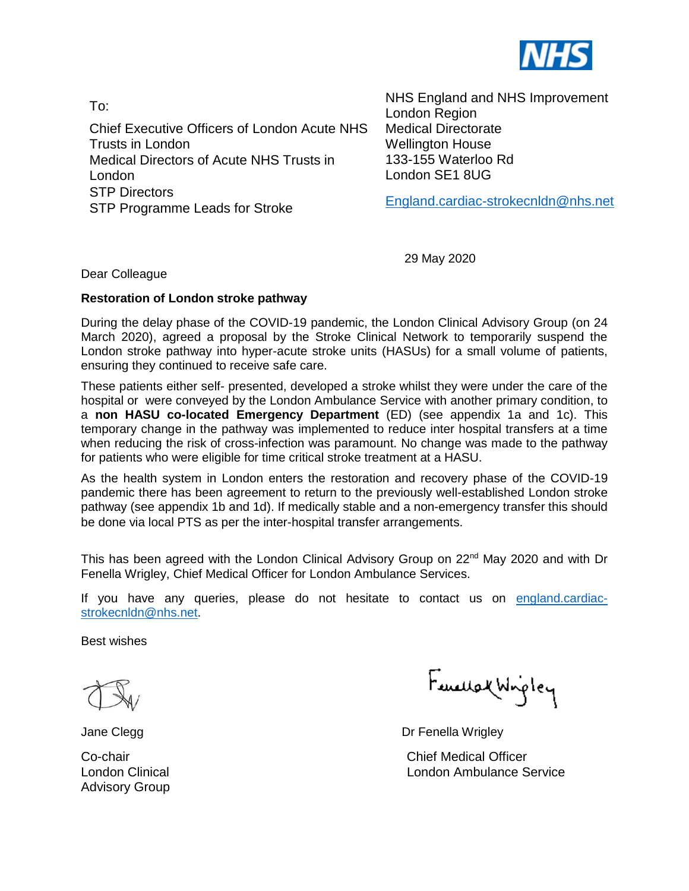

To: Chief Executive Officers of London Acute NHS Trusts in London Medical Directors of Acute NHS Trusts in London STP Directors STP Programme Leads for Stroke

NHS England and NHS Improvement London Region Medical Directorate Wellington House 133-155 Waterloo Rd London SE1 8UG

[England.cardiac-strokecnldn@nhs.net](mailto:England.cardiac-strokecnldn@nhs.net)

29 May 2020

Dear Colleague

## **Restoration of London stroke pathway**

During the delay phase of the COVID-19 pandemic, the London Clinical Advisory Group (on 24 March 2020), agreed a proposal by the Stroke Clinical Network to temporarily suspend the London stroke pathway into hyper-acute stroke units (HASUs) for a small volume of patients, ensuring they continued to receive safe care.

These patients either self- presented, developed a stroke whilst they were under the care of the hospital or were conveyed by the London Ambulance Service with another primary condition, to a **non HASU co-located Emergency Department** (ED) (see appendix 1a and 1c). This temporary change in the pathway was implemented to reduce inter hospital transfers at a time when reducing the risk of cross-infection was paramount. No change was made to the pathway for patients who were eligible for time critical stroke treatment at a HASU.

As the health system in London enters the restoration and recovery phase of the COVID-19 pandemic there has been agreement to return to the previously well-established London stroke pathway (see appendix 1b and 1d). If medically stable and a non-emergency transfer this should be done via local PTS as per the inter-hospital transfer arrangements.

This has been agreed with the London Clinical Advisory Group on 22<sup>nd</sup> May 2020 and with Dr Fenella Wrigley, Chief Medical Officer for London Ambulance Services.

If you have any queries, please do not hesitate to contact us on [england.cardiac](mailto:england.cardiac-strokecnldn@nhs.net)[strokecnldn@nhs.net.](mailto:england.cardiac-strokecnldn@nhs.net)

Best wishes

Advisory Group

Fancuse Wigley

Jane Clegg Dr Fenella Wrigley

Co-chair Chief Medical Officer London Clinical London Ambulance Service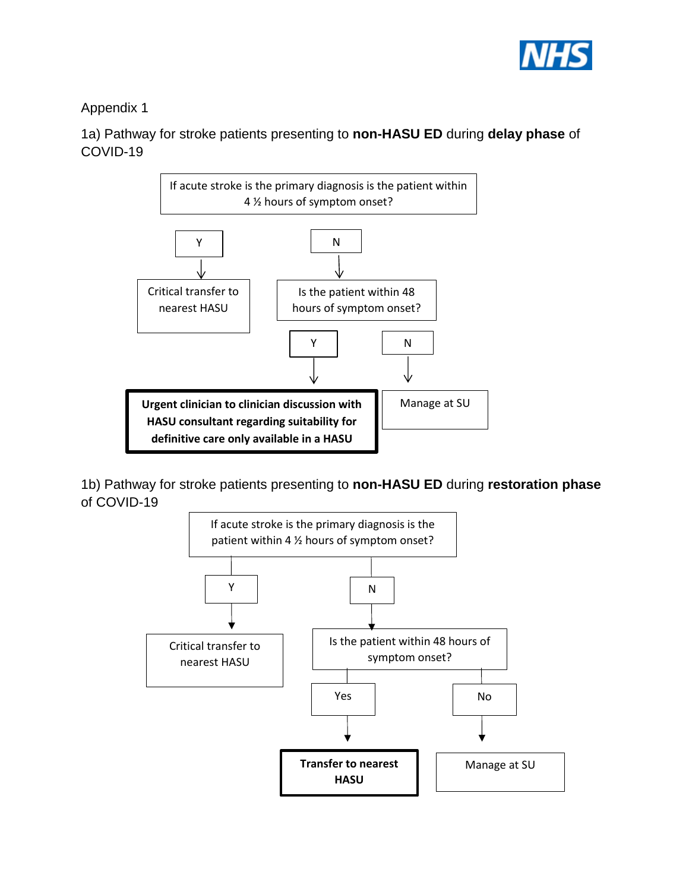

Appendix 1

1a) Pathway for stroke patients presenting to **non-HASU ED** during **delay phase** of COVID-19



1b) Pathway for stroke patients presenting to **non-HASU ED** during **restoration phase**  of COVID-19